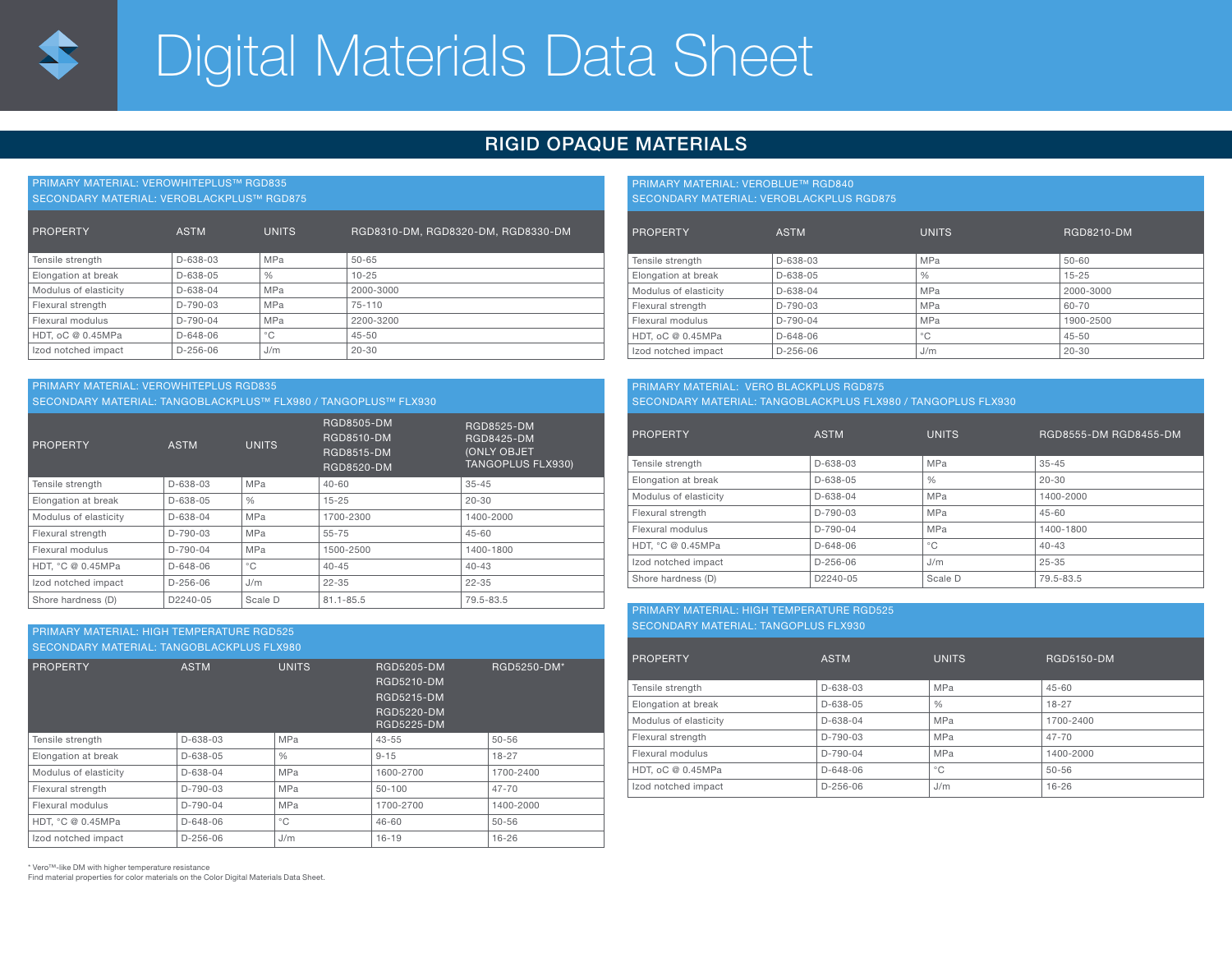# Digital Materials Data Sheet

## RIGID OPAQUE MATERIALS

PRIMARY MATERIAL: VEROWHITEPLUS™ RGD835 SECONDARY MATERIAL: VEROBLACKPLUS™ RGD875

| <b>PROPERTY</b>       | <b>ASTM</b>    | <b>UNITS</b>  | RGD8310-DM, RGD8320-DM, RGD8330-DM |
|-----------------------|----------------|---------------|------------------------------------|
| Tensile strength      | D-638-03       | <b>MPa</b>    | $50 - 65$                          |
| Elongation at break   | D-638-05       | $\frac{0}{0}$ | $10 - 25$                          |
| Modulus of elasticity | D-638-04       | <b>MPa</b>    | 2000-3000                          |
| Flexural strength     | D-790-03       | <b>MPa</b>    | 75-110                             |
| Flexural modulus      | $D-790-04$     | <b>MPa</b>    | 2200-3200                          |
| HDT, oC @ 0.45MPa     | $D - 648 - 06$ | $^{\circ}$ C  | $45 - 50$                          |
| Izod notched impact   | $D-256-06$     | J/m           | $20 - 30$                          |

#### PRIMARY MATERIAL: VEROWHITEPLUS RGD835

SECONDARY MATERIAL: TANGOBLACKPLUS™ FLX980 / TANGOPLUS™ FLX930

| PROPERTY              | <b>ASTM</b>    | <b>UNITS</b>  | RGD8505-DM<br>RGD8510-DM<br><b>RGD8515-DM</b><br>RGD8520-DM | RGD8525-DM<br><b>RGD8425-DM</b><br><b>(ONLY OBJET</b><br><b>TANGOPLUS FLX930)</b> |
|-----------------------|----------------|---------------|-------------------------------------------------------------|-----------------------------------------------------------------------------------|
| Tensile strength      | D-638-03       | <b>MPa</b>    | $40 - 60$                                                   | $35 - 45$                                                                         |
| Elongation at break   | $D - 638 - 05$ | $\frac{0}{0}$ | $15 - 25$                                                   | $20 - 30$                                                                         |
| Modulus of elasticity | $D - 638 - 04$ | <b>MPa</b>    | 1700-2300                                                   | 1400-2000                                                                         |
| Flexural strength     | D-790-03       | MPa           | 55-75                                                       | $45 - 60$                                                                         |
| Flexural modulus      | D-790-04       | <b>MPa</b>    | 1500-2500                                                   | 1400-1800                                                                         |
| HDT. °C @ 0.45MPa     | $D-648-06$     | $^{\circ}$ C  | $40 - 45$                                                   | $40 - 43$                                                                         |
| Izod notched impact   | $D-256-06$     | J/m           | $22 - 35$                                                   | $22 - 35$                                                                         |
| Shore hardness (D)    | D2240-05       | Scale D       | $81.1 - 85.5$                                               | 79.5-83.5                                                                         |

### PRIMARY MATERIAL: HIGH TEMPERATURE RGD525

SECONDARY MATERIAL: TANGOBLACKPLUS FLX980

| PROPERTY              | <b>ASTM</b>    | <b>UNITS</b>  | RGD5205-DM<br>RGD5210-DM<br><b>RGD5215-DM</b><br><b>RGD5220-DM</b><br><b>RGD5225-DM</b> | RGD5250-DM* |
|-----------------------|----------------|---------------|-----------------------------------------------------------------------------------------|-------------|
| Tensile strength      | D-638-03       | MPa           | $43 - 55$                                                                               | $50 - 56$   |
| Elongation at break   | D-638-05       | $\frac{0}{0}$ | $9 - 15$                                                                                | $18 - 27$   |
| Modulus of elasticity | $D - 638 - 04$ | MPa           | 1600-2700                                                                               | 1700-2400   |
| Flexural strength     | $D-790-03$     | MPa           | $50 - 100$                                                                              | $47 - 70$   |
| Flexural modulus      | $D-790-04$     | MPa           | 1700-2700                                                                               | 1400-2000   |
| HDT. °C @ 0.45MPa     | $D - 648 - 06$ | $^{\circ}$ C  | $46 - 60$                                                                               | $50 - 56$   |
| Izod notched impact   | $D-256-06$     | J/m           | $16 - 19$                                                                               | $16 - 26$   |

\* Vero™-like DM with higher temperature resistance

Find material properties for color materials on the Color Digital Materials Data Sheet.

#### PRIMARY MATERIAL: VEROBLUE™ RGD840 SECONDARY MATERIAL: VEROBLACKPLUS RGD875

| <b>PROPERTY</b>       | <b>ASTM</b> | <b>UNITS</b>  | <b>RGD8210-DM</b> |
|-----------------------|-------------|---------------|-------------------|
| Tensile strength      | D-638-03    | <b>MPa</b>    | $50 - 60$         |
| Elongation at break   | $D-638-05$  | $\frac{0}{0}$ | $15 - 25$         |
| Modulus of elasticity | D-638-04    | <b>MPa</b>    | 2000-3000         |
| Flexural strength     | $D-790-03$  | <b>MPa</b>    | 60-70             |
| Flexural modulus      | $D-790-04$  | <b>MPa</b>    | 1900-2500         |
| HDT, oC @ 0.45MPa     | $D-648-06$  | $^{\circ}$ C  | $45 - 50$         |
| Izod notched impact   | $D-256-06$  | J/m           | $20 - 30$         |

#### PRIMARY MATERIAL: VERO BLACKPLUS RGD875 SECONDARY MATERIAL: TANGOBLACKPLUS FLX980 / TANGOPLUS FLX930

| <b>PROPERTY</b>       | <b>ASTM</b>    | <b>UNITS</b>  | RGD8555-DM RGD8455-DM |
|-----------------------|----------------|---------------|-----------------------|
| Tensile strength      | $D - 638 - 03$ | MPa           | $35 - 45$             |
| Elongation at break   | D-638-05       | $\frac{0}{0}$ | $20 - 30$             |
| Modulus of elasticity | $D-638-04$     | MPa           | 1400-2000             |
| Flexural strength     | $D-790-03$     | <b>MPa</b>    | $45 - 60$             |
| Flexural modulus      | $D-790-04$     | MPa           | 1400-1800             |
| HDT. °C @ 0.45MPa     | $D-648-06$     | $^{\circ}$ C  | $40 - 43$             |
| Izod notched impact   | $D-256-06$     | J/m           | $25 - 35$             |
| Shore hardness (D)    | D2240-05       | Scale D       | 79.5-83.5             |

#### PRIMARY MATERIAL: HIGH TEMPERATURE RGD525 SECONDARY MATERIAL: TANGOPLUS FLX930

| <b>PROPERTY</b>       | <b>ASTM</b> | <b>UNITS</b>  | RGD5150-DM |
|-----------------------|-------------|---------------|------------|
| Tensile strength      | D-638-03    | <b>MPa</b>    | $45 - 60$  |
| Elongation at break   | D-638-05    | $\frac{0}{0}$ | $18 - 27$  |
| Modulus of elasticity | D-638-04    | <b>MPa</b>    | 1700-2400  |
| Flexural strength     | D-790-03    | MPa           | $47 - 70$  |
| Flexural modulus      | D-790-04    | MPa           | 1400-2000  |
| HDT, oC @ 0.45MPa     | $D-648-06$  | $^{\circ}$ C  | $50 - 56$  |
| Izod notched impact   | $D-256-06$  | J/m           | $16 - 26$  |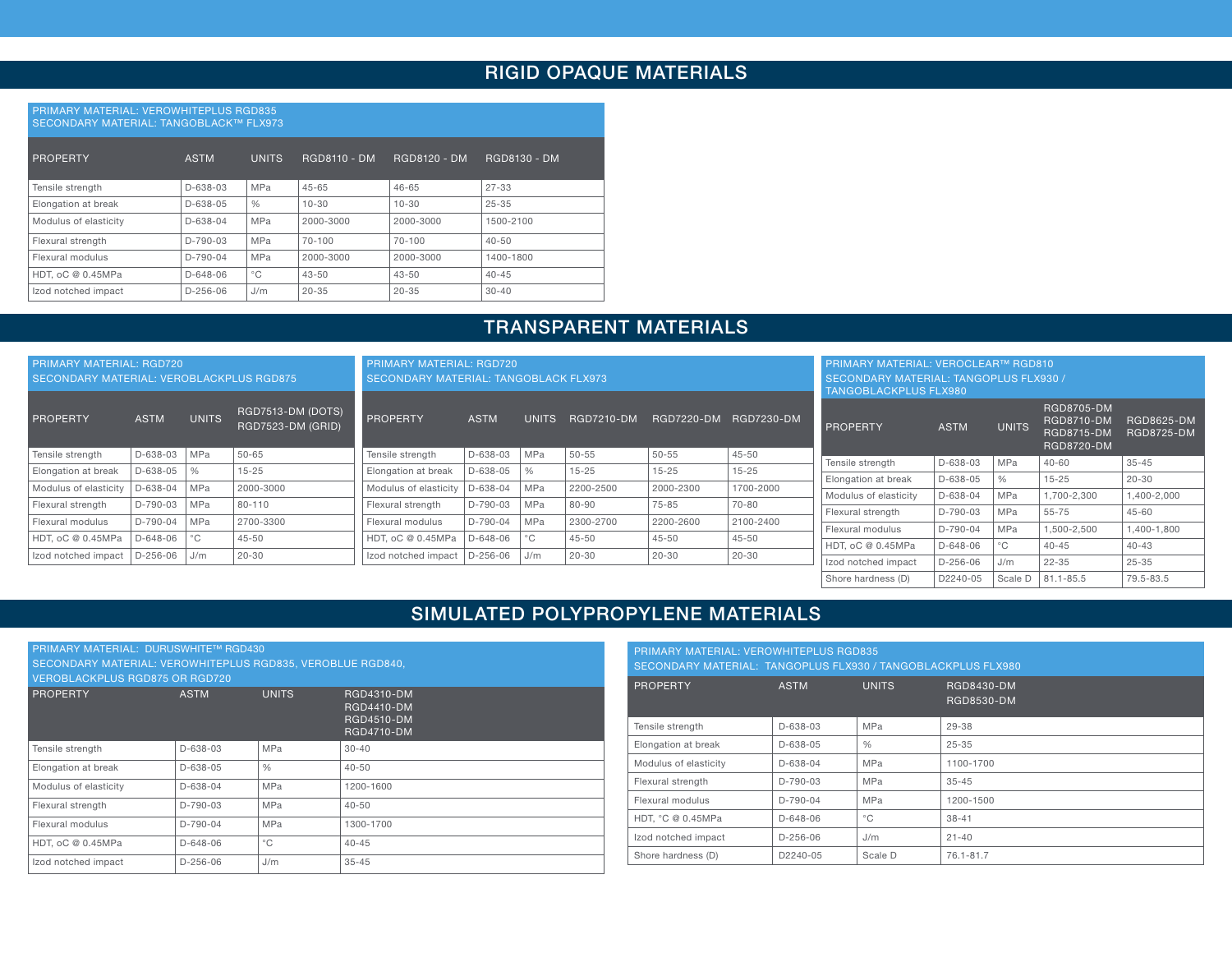## RIGID OPAQUE MATERIALS

#### PRIMARY MATERIAL: VEROWHITEPLUS RGD835 SECONDARY MATERIAL: TANGOBLACK™ FLX973

| PROPERTY              | <b>ASTM</b>    | <b>UNITS</b>  | <b>RGD8110 - DM</b> | <b>RGD8120 - DM</b> | <b>RGD8130 - DM</b> |
|-----------------------|----------------|---------------|---------------------|---------------------|---------------------|
| Tensile strength      | $D-638-03$     | <b>MPa</b>    | $45 - 65$           | $46 - 65$           | $27 - 33$           |
| Elongation at break   | $D-638-05$     | $\frac{0}{0}$ | $10 - 30$           | $10 - 30$           | $25 - 35$           |
| Modulus of elasticity | $D - 638 - 04$ | <b>MPa</b>    | 2000-3000           | 2000-3000           | 1500-2100           |
| Flexural strength     | $D-790-03$     | <b>MPa</b>    | 70-100              | 70-100              | $40 - 50$           |
| Flexural modulus      | $D-790-04$     | <b>MPa</b>    | 2000-3000           | 2000-3000           | 1400-1800           |
| HDT, oC @ 0.45MPa     | $D - 648 - 06$ | $^{\circ}$ C  | $43 - 50$           | $43 - 50$           | $40 - 45$           |
| Izod notched impact   | $D-256-06$     | J/m           | $20 - 35$           | $20 - 35$           | $30 - 40$           |

## TRANSPARENT MATERIALS

| <b>PRIMARY MATERIAL: RGD720</b><br>SECONDARY MATERIAL: VEROBLACKPLUS RGD875 |             | <b>PRIMARY MATERIAL: RGD720</b><br><b>SECONDARY MATERIAL: TANGOBLACK FLX973</b> |                                        |                       |             |               | <b>PRIMARY MATERIAL: VEROCLEAR™ RGD810</b><br>SECONDARY MATERIAL: TANGOPLUS FLX930 /<br>TANGOBLACKPLUS FLX980 |                   |            |                       |                |              |                                                                           |                                        |
|-----------------------------------------------------------------------------|-------------|---------------------------------------------------------------------------------|----------------------------------------|-----------------------|-------------|---------------|---------------------------------------------------------------------------------------------------------------|-------------------|------------|-----------------------|----------------|--------------|---------------------------------------------------------------------------|----------------------------------------|
| PROPERTY                                                                    | <b>ASTM</b> | <b>UNITS</b>                                                                    | RGD7513-DM (DOTS)<br>RGD7523-DM (GRID) | PROPERTY              | <b>ASTM</b> | <b>UNITS</b>  | <b>RGD7210-DM</b>                                                                                             | <b>RGD7220-DM</b> | RGD7230-DM | PROPERTY              | <b>ASTM</b>    | <b>UNITS</b> | <b>RGD8705-DM</b><br>RGD8710-DM<br><b>RGD8715-DM</b><br><b>RGD8720-DM</b> | <b>RGD8625-DM</b><br><b>RGD8725-DM</b> |
| Tensile strength                                                            | D-638-03    | MPa                                                                             | $50 - 65$                              | Tensile strenath      | D-638-03    | MPa           | $50 - 55$                                                                                                     | $50 - 55$         | $45 - 50$  | Tensile strenath      | D-638-03       | l MPa        | 40-60                                                                     | $35 - 45$                              |
| Elongation at break                                                         | D-638-05    |                                                                                 | $15 - 25$                              | Elongation at break   | D-638-05    | $\frac{0}{0}$ | $15 - 25$                                                                                                     | $15 - 25$         | $15 - 25$  | Elongation at break   | $D - 638 - 05$ |              | $15 - 25$                                                                 | $20 - 30$                              |
| Modulus of elasticity                                                       | D-638-04    | MPa                                                                             | 2000-3000                              | Modulus of elasticity | D-638-04    | <b>MPa</b>    | 2200-2500                                                                                                     | 2000-2300         | 1700-2000  |                       | $D - 638 - 04$ | MPa          | 1.700-2.300                                                               | 1.400-2.000                            |
| Flexural strength                                                           | D-790-03    | MPa                                                                             | 80-110                                 | Flexural strength     | D-790-03    | MPa           | 80-90                                                                                                         | $75 - 85$         | 70-80      | Modulus of elasticity |                |              |                                                                           |                                        |
| Flexural modulus                                                            | D-790-04    | MPa                                                                             | 2700-3300                              | Flexural modulus      | D-790-04    | <b>MPa</b>    | 2300-2700                                                                                                     | 2200-2600         | 2100-2400  | Flexural strength     | $D-790-03$     | MPa          | 55-75                                                                     | $45 - 60$                              |
|                                                                             |             |                                                                                 |                                        |                       |             |               |                                                                                                               |                   |            | Flexural modulus      | D-790-04       | <b>MPa</b>   | 1.500-2.500                                                               | 1,400-1,800                            |
| HDT, oC @ 0.45MPa                                                           | $D-648-06$  | °C                                                                              | $45 - 50$                              | HDT. oC @ 0.45MPa     | D-648-06    | °C−           | $45 - 50$                                                                                                     | 45-50             | 45-50      | HDT, oC @ 0.45MPa     | $D - 648 - 06$ |              | 40-45                                                                     | $40 - 43$                              |
| Izod notched impact                                                         | $D-256-06$  | J/m                                                                             | $20 - 30$                              | Izod notched impact   | D-256-06    | J/m           | $20 - 30$                                                                                                     | $20 - 30$         | 20-30      | Izod notched impact   | $D-256-06$     | J/m          | 22-35                                                                     | $25 - 35$                              |
|                                                                             |             |                                                                                 |                                        |                       |             |               |                                                                                                               |                   |            | Shore hardness (D)    | D2240-05       | Scale D      | $81.1 - 85.5$                                                             | 79.5-83.5                              |

## SIMULATED POLYPROPYLENE MATERIALS

| PRIMARY MATERIAL: DURUSWHITE™ RGD430                       |                |               |                                                                           |  |  |  |  |  |
|------------------------------------------------------------|----------------|---------------|---------------------------------------------------------------------------|--|--|--|--|--|
| SECONDARY MATERIAL: VEROWHITEPLUS RGD835, VEROBLUE RGD840. |                |               |                                                                           |  |  |  |  |  |
| <b>VEROBLACKPLUS RGD875 OR RGD720</b>                      |                |               |                                                                           |  |  |  |  |  |
| <b>PROPERTY</b>                                            | <b>ASTM</b>    | <b>UNITS</b>  | RGD4310-DM<br><b>RGD4410-DM</b><br><b>RGD4510-DM</b><br><b>RGD4710-DM</b> |  |  |  |  |  |
| Tensile strength                                           | $D - 638 - 03$ | MPa           | $30 - 40$                                                                 |  |  |  |  |  |
| Elongation at break                                        | $D - 638 - 05$ | $\frac{0}{0}$ | $40 - 50$                                                                 |  |  |  |  |  |
| Modulus of elasticity                                      | $D - 638 - 04$ | MPa           | 1200-1600                                                                 |  |  |  |  |  |
| Flexural strength                                          | $D-790-03$     | MPa           | $40 - 50$                                                                 |  |  |  |  |  |
| Flexural modulus                                           | $D-790-04$     | <b>MPa</b>    | 1300-1700                                                                 |  |  |  |  |  |
| HDT, oC @ 0.45MPa                                          | $D - 648 - 06$ | $^{\circ}$ C  | $40 - 45$                                                                 |  |  |  |  |  |
| Izod notched impact                                        | $D-256-06$     | J/m           | $35 - 45$                                                                 |  |  |  |  |  |

| <b>PRIMARY MATERIAL: VEROWHITEPLUS RGD835</b><br>SECONDARY MATERIAL: TANGOPLUS FLX930 / TANGOBLACKPLUS FLX980 |                |               |                          |  |  |
|---------------------------------------------------------------------------------------------------------------|----------------|---------------|--------------------------|--|--|
| <b>PROPERTY</b>                                                                                               | <b>ASTM</b>    | <b>UNITS</b>  | RGD8430-DM<br>RGD8530-DM |  |  |
| Tensile strength                                                                                              | $D - 638 - 03$ | MPa           | 29-38                    |  |  |
| Elongation at break                                                                                           | $D - 638 - 05$ | $\frac{0}{0}$ | $25 - 35$                |  |  |
| Modulus of elasticity                                                                                         | $D - 638 - 04$ | MPa           | 1100-1700                |  |  |
| Flexural strength                                                                                             | $D-790-03$     | MPa           | $35 - 45$                |  |  |
| Flexural modulus                                                                                              | $D-790-04$     | MPa           | 1200-1500                |  |  |
| HDT. °C @ 0.45MPa                                                                                             | $D - 648 - 06$ | $^{\circ}$ C  | $38 - 41$                |  |  |
| Izod notched impact                                                                                           | $D-256-06$     | J/m           | $21 - 40$                |  |  |
| Shore hardness (D)                                                                                            | D2240-05       | Scale D       | 76.1-81.7                |  |  |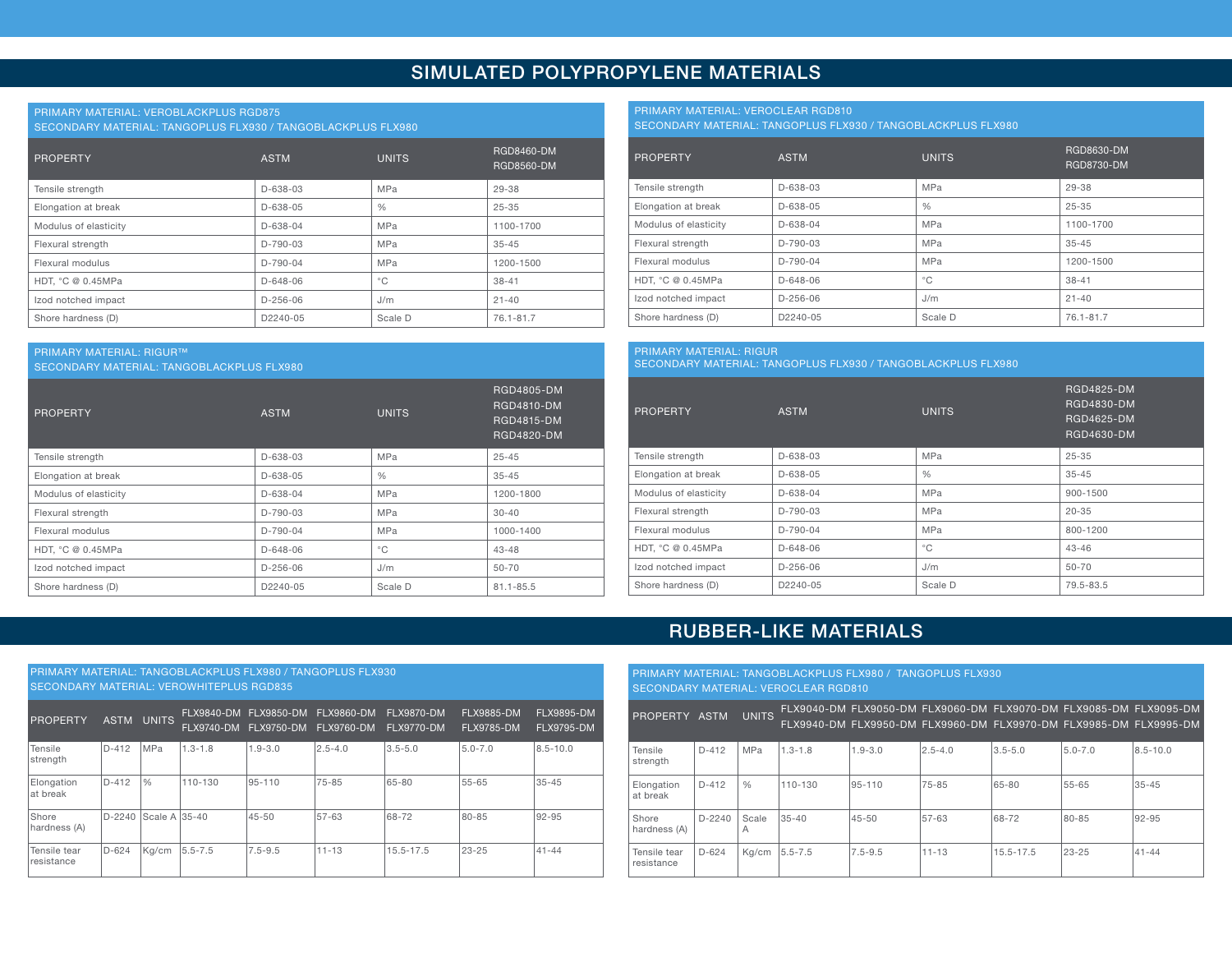## SIMULATED POLYPROPYLENE MATERIALS

#### PRIMARY MATERIAL: VEROBLACKPLUS RGD875

SECONDARY MATERIAL: TANGOPLUS FLX930 / TANGOBLACKPLUS FLX980

| <b>PROPERTY</b>       | <b>ASTM</b>    | <b>UNITS</b>  | RGD8460-DM<br><b>RGD8560-DM</b> |
|-----------------------|----------------|---------------|---------------------------------|
| Tensile strength      | D-638-03       | <b>MPa</b>    | 29-38                           |
| Elongation at break   | D-638-05       | $\frac{0}{6}$ | $25 - 35$                       |
| Modulus of elasticity | $D - 638 - 04$ | MPa           | 1100-1700                       |
| Flexural strength     | $D-790-03$     | <b>MPa</b>    | $35 - 45$                       |
| Flexural modulus      | $D-790-04$     | MPa           | 1200-1500                       |
| HDT, °C @ 0.45MPa     | $D - 648 - 06$ | $^{\circ}$ C  | $38 - 41$                       |
| Izod notched impact   | $D-256-06$     | J/m           | $21 - 40$                       |
| Shore hardness (D)    | D2240-05       | Scale D       | 76.1-81.7                       |

#### PRIMARY MATERIAL: VEROCLEAR RGD810

PRIMARY MATERIAL: RIGUR

SECONDARY MATERIAL: TANGOPLUS FLX930 / TANGOBLACKPLUS FLX980

| <b>PROPERTY</b>       | <b>ASTM</b>          | <b>UNITS</b>  | RGD8630-DM<br>RGD8730-DM |
|-----------------------|----------------------|---------------|--------------------------|
| Tensile strength      | D-638-03             | <b>MPa</b>    | 29-38                    |
| Elongation at break   | D-638-05             | $\frac{0}{0}$ | $25 - 35$                |
| Modulus of elasticity | $D - 638 - 04$       | <b>MPa</b>    | 1100-1700                |
| Flexural strength     | D-790-03             | <b>MPa</b>    | $35 - 45$                |
| Flexural modulus      | $D-790-04$           | <b>MPa</b>    | 1200-1500                |
| HDT. °C @ 0.45MPa     | $D - 648 - 06$       | $^{\circ}$ C  | $38 - 41$                |
| Izod notched impact   | $D-256-06$           | J/m           | $21 - 40$                |
| Shore hardness (D)    | D <sub>2240-05</sub> | Scale D       | 76.1-81.7                |

#### PRIMARY MATERIAL: RIGUR™ SECONDARY MATERIAL: TANGOBLACKPLUS FLX980 PROPERTY **ASTM** UNITS RGD4805-DM RGD4810-DM RGD4815-DM RGD4820-DM Tensile strength  $\vert$  D-638-03 MPa 25-45 Elongation at break  $\vert$  D-638-05  $\vert$  35-45 Modulus of elasticity **D-638-04** MPa 1200-1800 Flexural strength  $D-790-03$  MPa 30-40 Flexural modulus D-790-04 MPa 1000-1400 HDT, °C @ 0.45MPa **D** 0.45MPa **D** 0.45MPa **D** 0.648-06 **P** 2.648-06 **P** 2.43-48  $\vert$  Izod notched impact  $\vert$  D-256-06  $\vert$  J/m  $\vert$  50-70 Shore hardness (D) D2240-05 Scale D 81.1-85.5

|                       | SECONDARY MATERIAL: TANGOPLUS FLX930 / TANGOBLACKPLUS FLX980 |               |                                                             |  |  |  |  |  |  |  |  |
|-----------------------|--------------------------------------------------------------|---------------|-------------------------------------------------------------|--|--|--|--|--|--|--|--|
| <b>PROPERTY</b>       | <b>ASTM</b>                                                  | <b>UNITS</b>  | <b>RGD4825-DM</b><br>RGD4830-DM<br>RGD4625-DM<br>RGD4630-DM |  |  |  |  |  |  |  |  |
| Tensile strength      | D-638-03                                                     | MPa           | $25 - 35$                                                   |  |  |  |  |  |  |  |  |
| Elongation at break   | D-638-05                                                     | $\frac{0}{0}$ | $35 - 45$                                                   |  |  |  |  |  |  |  |  |
| Modulus of elasticity | $D - 638 - 04$                                               | <b>MPa</b>    | 900-1500                                                    |  |  |  |  |  |  |  |  |
| Flexural strength     | D-790-03                                                     | <b>MPa</b>    | $20 - 35$                                                   |  |  |  |  |  |  |  |  |
| Flexural modulus      | $D-790-04$                                                   | MPa           | 800-1200                                                    |  |  |  |  |  |  |  |  |
| HDT. °C @ 0.45MPa     | D-648-06                                                     | $^{\circ}$ C  | $43 - 46$                                                   |  |  |  |  |  |  |  |  |

 $\vert$  Izod notched impact  $\vert$  D-256-06  $\vert$  J/m  $\vert$  50-70 Shore hardness (D) D2240-05 Scale D 79.5-83.5

## RUBBER-LIKE MATERIALS

| <b>PRIMARY MATERIAL: TANGOBLACKPLUS FLX980 / TANGOPLUS FLX930</b><br><b>SECONDARY MATERIAL: VEROWHITEPLUS RGD835</b> |             |               |             |                                                           |                   |                                 |                                        |                                 |  |  |  |  |
|----------------------------------------------------------------------------------------------------------------------|-------------|---------------|-------------|-----------------------------------------------------------|-------------------|---------------------------------|----------------------------------------|---------------------------------|--|--|--|--|
| <b>PROPERTY</b>                                                                                                      | <b>ASTM</b> | <b>UNITS</b>  |             | FLX9840-DM FLX9850-DM<br>FLX9740-DM FLX9750-DM FLX9760-DM | <b>FLX9860-DM</b> | <b>FLX9870-DM</b><br>FLX9770-DM | <b>FLX9885-DM</b><br><b>FLX9785-DM</b> | FLX9895-DM<br><b>FLX9795-DM</b> |  |  |  |  |
| Tensile<br>strength                                                                                                  | $D-412$     | MPa           | $1.3 - 1.8$ | $1.9 - 3.0$                                               | $2.5 - 4.0$       | $3.5 - 5.0$                     | $5.0 - 7.0$                            | $8.5 - 10.0$                    |  |  |  |  |
| Elongation<br>at break                                                                                               | $D-412$     | $\frac{0}{0}$ | 110-130     | 95-110                                                    | 75-85             | 65-80                           | $55 - 65$                              | $35 - 45$                       |  |  |  |  |
| Shore<br>hardness (A)                                                                                                | $D-2240$    | Scale A 35-40 |             | $45 - 50$                                                 | 57-63             | 68-72                           | 80-85                                  | 92-95                           |  |  |  |  |
| Tensile tear<br>resistance                                                                                           | $D-624$     | Kg/cm         | $5.5 - 7.5$ | $7.5 - 9.5$                                               | $11 - 13$         | 15.5-17.5                       | $23 - 25$                              | $41 - 44$                       |  |  |  |  |

|                            | <b>PRIMARY MATERIAL: TANGOBLACKPLUS FLX980 / TANGOPLUS FLX930</b><br><b>SECONDARY MATERIAL: VEROCLEAR RGD810</b> |               |             |             |                                                                                                                                        |             |             |              |  |  |  |  |
|----------------------------|------------------------------------------------------------------------------------------------------------------|---------------|-------------|-------------|----------------------------------------------------------------------------------------------------------------------------------------|-------------|-------------|--------------|--|--|--|--|
| PROPERTY ASTM              |                                                                                                                  | <b>UNITS</b>  |             |             | FLX9040-DM FLX9050-DM FLX9060-DM FLX9070-DM FLX9085-DM FLX9095-DM<br>FLX9940-DM FLX9950-DM FLX9960-DM FLX9970-DM FLX9985-DM FLX9995-DM |             |             |              |  |  |  |  |
| Tensile<br>strength        | $D-412$                                                                                                          | <b>MPa</b>    | $1.3 - 1.8$ | $1.9 - 3.0$ | $2.5 - 4.0$                                                                                                                            | $3.5 - 5.0$ | $5.0 - 7.0$ | $8.5 - 10.0$ |  |  |  |  |
| Elongation<br>at break     | $D-412$                                                                                                          | $\frac{0}{0}$ | 110-130     | 95-110      | 75-85                                                                                                                                  | 65-80       | 55-65       | $35 - 45$    |  |  |  |  |
| Shore<br>hardness (A)      | $D-2240$                                                                                                         | Scale<br>А    | $35 - 40$   | $45 - 50$   | 57-63                                                                                                                                  | 68-72       | 80-85       | 92-95        |  |  |  |  |
| Tensile tear<br>resistance | $D-624$                                                                                                          | Ka/cm         | 5.5-7.5     | $7.5 - 9.5$ | $11 - 13$                                                                                                                              | 15.5-17.5   | 23-25       | $41 - 44$    |  |  |  |  |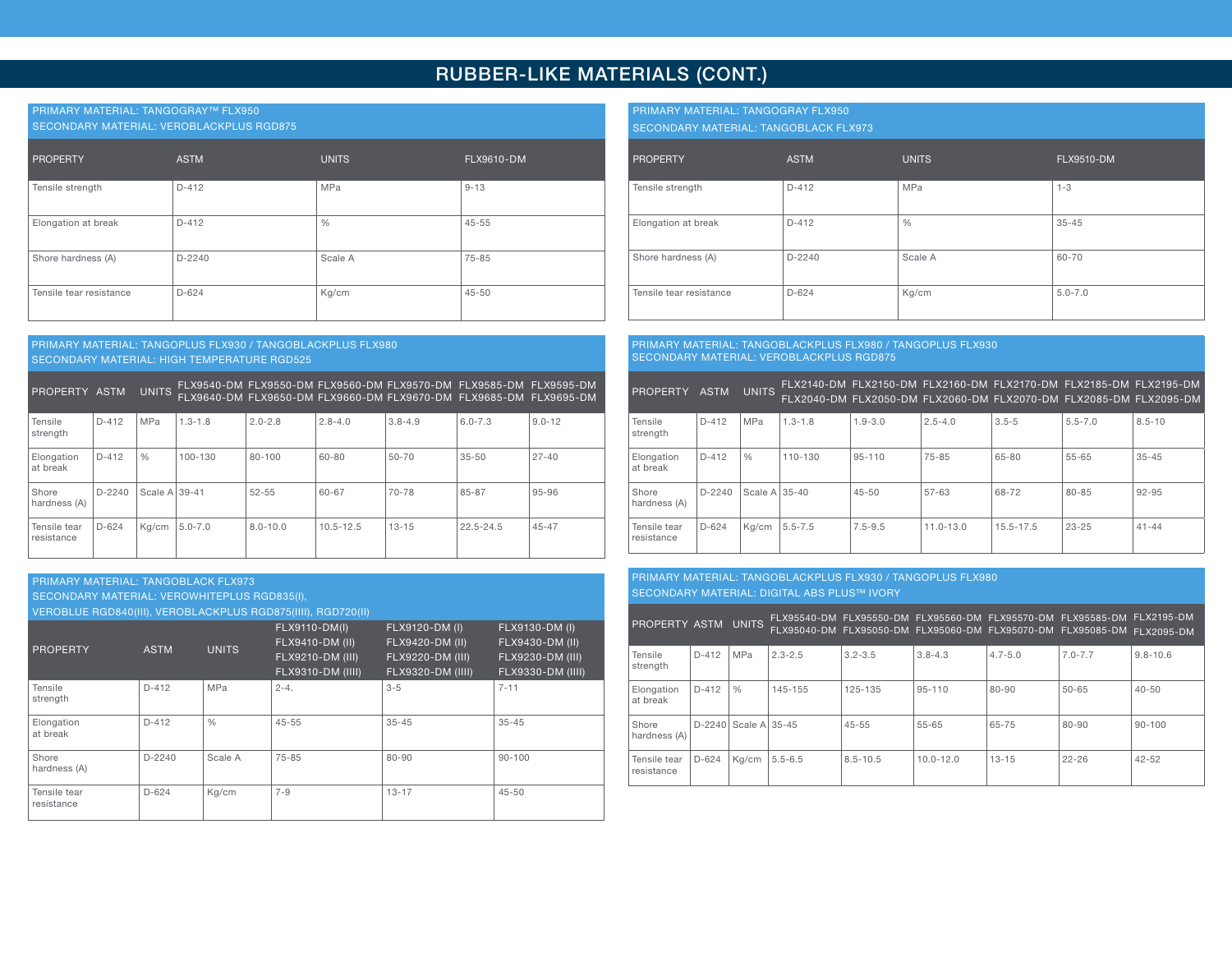## RUBBER-LIKE MATERIALS (CONT.)

#### PRIMARY MATERIAL: TANGOGRAY™ FLX950

SECONDARY MATERIAL: VEROBLACKPLUS RGD875

| PROPERTY                | <b>ASTM</b> | <b>UNITS</b>  | FLX9610-DM |
|-------------------------|-------------|---------------|------------|
| Tensile strength        | $D-412$     | MPa           | $9 - 13$   |
| Elongation at break     | $D-412$     | $\frac{0}{0}$ | $45 - 55$  |
| Shore hardness (A)      | $D-2240$    | Scale A       | 75-85      |
| Tensile tear resistance | $D-624$     | Kg/cm         | $45 - 50$  |

#### PRIMARY MATERIAL: TANGOPLUS FLX930 / TANGOBLACKPLUS FLX980 SECONDARY MATERIAL: HIGH TEMPERATURE RGD525

PROPERTY ASTM UNITS FLX9540-DM FLX9640-DM FLX9550-DM FLX9650-DM FLX9560-DM FLX9660-DM FLX9570-DM FLX9670-DM FLX9585-DM FLX9685-DM FLX9595-DM FLX9695-DM

| Tensile<br>strength        | $D-412$  | <b>MPa</b>    | $1.3 - 1.8$ | $2.0 - 2.8$  | $2.8 - 4.0$   | $3.8 - 4.9$ | $6.0 - 7.3$ | $9.0 - 12$ |
|----------------------------|----------|---------------|-------------|--------------|---------------|-------------|-------------|------------|
| Elongation<br>at break     | $D-412$  | $\frac{0}{0}$ | 100-130     | 80-100       | 60-80         | $50 - 70$   | 35-50       | $27 - 40$  |
| Shore<br>hardness (A)      | $D-2240$ | Scale A 39-41 |             | $52 - 55$    | 60-67         | 70-78       | 85-87       | 95-96      |
| Tensile tear<br>resistance | $D-624$  | Kg/cm         | $5.0 - 7.0$ | $8.0 - 10.0$ | $10.5 - 12.5$ | $13 - 15$   | 22.5-24.5   | $45 - 47$  |

#### PRIMARY MATERIAL: TANGOBLACK FLX973 SECONDARY MATERIAL: VEROWHITEPLUS RGD835(I),

VEROBLUE RGD840(III), VEROBLACKPLUS RGD875(IIII), RGD720(II)

| <b>PROPERTY</b>            | <b>ASTM</b> | <b>UNITS</b> | FLX9110-DM(I)<br>FLX9410-DM (II)<br>FLX9210-DM (III)<br>FLX9310-DM (IIII) | FLX9120-DM (I)<br>FLX9420-DM (II)<br>FLX9220-DM (III)<br>FLX9320-DM (IIII) | FLX9130-DM (I)<br>FLX9430-DM (II)<br>FLX9230-DM (III)<br>FLX9330-DM (IIII) |
|----------------------------|-------------|--------------|---------------------------------------------------------------------------|----------------------------------------------------------------------------|----------------------------------------------------------------------------|
| Tensile<br>strength        | $D-412$     | MPa          | $2 - 4$ .                                                                 | $3 - 5$                                                                    | $7 - 11$                                                                   |
| Elongation<br>at break     | $D-412$     | $\%$         | $45 - 55$                                                                 | $35 - 45$                                                                  | $35 - 45$                                                                  |
| Shore<br>hardness (A)      | $D-2240$    | Scale A      | $75 - 85$                                                                 | 80-90                                                                      | $90 - 100$                                                                 |
| Tensile tear<br>resistance | $D-624$     | Kg/cm        | $7 - 9$                                                                   | $13 - 17$                                                                  | $45 - 50$                                                                  |

PRIMARY MATERIAL: TANGOGRAY FLX950

SECONDARY MATERIAL: TANGOBLACK FLX973

| PROPERTY                | <b>ASTM</b> | <b>UNITS</b>  | <b>FLX9510-DM</b> |
|-------------------------|-------------|---------------|-------------------|
| Tensile strength        | $D-412$     | <b>MPa</b>    | $1 - 3$           |
| Elongation at break     | $D-412$     | $\frac{0}{0}$ | $35 - 45$         |
| Shore hardness (A)      | $D-2240$    | Scale A       | 60-70             |
| Tensile tear resistance | $D-624$     | Kg/cm         | $5.0 - 7.0$       |

#### PRIMARY MATERIAL: TANGOBLACKPLUS FLX980 / TANGOPLUS FLX930 SECONDARY MATERIAL: VEROBLACKPLUS RGD875

| PROPERTY ASTM              |          | <b>UNITS</b>     |             |             | FLX2140-DM FLX2150-DM FLX2160-DM FLX2170-DM FLX2185-DM FLX2195-DM<br>FLX2040-DM FLX2050-DM FLX2060-DM FLX2070-DM FLX2085-DM FLX2095-DM |           |             |            |
|----------------------------|----------|------------------|-------------|-------------|----------------------------------------------------------------------------------------------------------------------------------------|-----------|-------------|------------|
| Tensile<br>strength        | $D-412$  | MPa              | $1.3 - 1.8$ | $1.9 - 3.0$ | $2.5 - 4.0$                                                                                                                            | $3.5 - 5$ | $5.5 - 7.0$ | $8.5 - 10$ |
| Elongation<br>at break     | $D-412$  | $\frac{0}{0}$    | 110-130     | $95 - 110$  | 75-85                                                                                                                                  | 65-80     | 55-65       | $35 - 45$  |
| Shore<br>hardness (A)      | $D-2240$ | Scale A $ 35-40$ |             | $45 - 50$   | 57-63                                                                                                                                  | 68-72     | 80-85       | 92-95      |
| Tensile tear<br>resistance | $D-624$  | Kg/cm            | $5.5 - 7.5$ | $7.5 - 9.5$ | $11.0 - 13.0$                                                                                                                          | 15.5-17.5 | $23 - 25$   | $41 - 44$  |

#### PRIMARY MATERIAL: TANGOBLACKPLUS FLX930 / TANGOPLUS FLX980 SECONDARY MATERIAL: DIGITAL ABS PLUS™ IVORY

PROPERTY ASTM UNITS <sup>FLX95540-DM</sup><br>FLX95040-DM FLX95550-DM FLX95050-DM FLX95560-DM FLX95060-DM FLX95570-DM FLX95070-DM FLX95585-DM FLX95085-DM FLX2195-DM FLX2095-DM Tensile strength D-412 MPa 2.3-2.5 3.2-3.5 3.8-4.3 4.7-5.0 7.0-7.7 9.8-10.6 Elongation at break D-412 % 145-155 125-135 95-110 80-90 50-65 40-50 Shore hardness (A) D-2240 Scale A 35-45 45-55 55-65 65-75 80-90 90-100 Tensile tear resistance D-624 Kg/cm 5.5-6.5 8.5-10.5 10.0-12.0 13-15 22-26 42-52